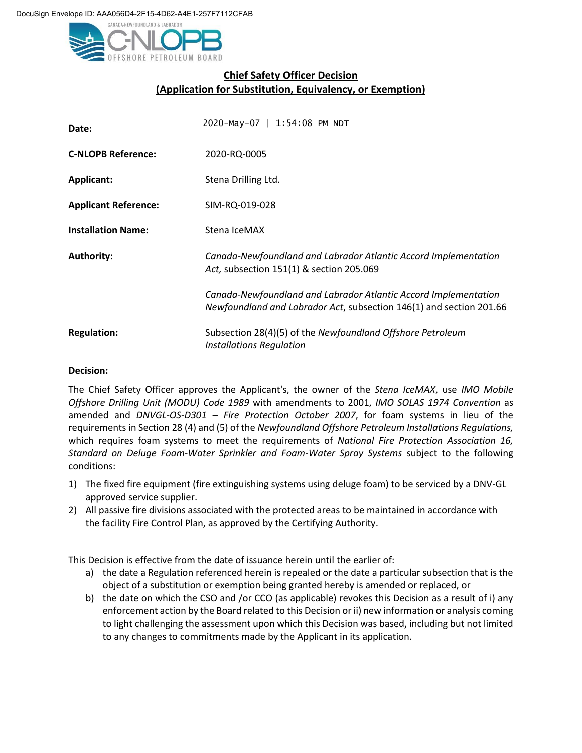

## **Chief Safety Officer Decision (Application for Substitution, Equivalency, or Exemption)**

| Date:                       | 2020-May-07   1:54:08 PM NDT                                                                                                           |
|-----------------------------|----------------------------------------------------------------------------------------------------------------------------------------|
| <b>C-NLOPB Reference:</b>   | 2020-RQ-0005                                                                                                                           |
| Applicant:                  | Stena Drilling Ltd.                                                                                                                    |
| <b>Applicant Reference:</b> | SIM-RQ-019-028                                                                                                                         |
| <b>Installation Name:</b>   | Stena IceMAX                                                                                                                           |
| <b>Authority:</b>           | Canada-Newfoundland and Labrador Atlantic Accord Implementation<br>Act, subsection 151(1) & section 205.069                            |
|                             | Canada-Newfoundland and Labrador Atlantic Accord Implementation<br>Newfoundland and Labrador Act, subsection 146(1) and section 201.66 |
| <b>Regulation:</b>          | Subsection 28(4)(5) of the Newfoundland Offshore Petroleum<br><b>Installations Regulation</b>                                          |

## **Decision:**

The Chief Safety Officer approves the Applicant's, the owner of the *Stena IceMAX*, use *IMO Mobile Offshore Drilling Unit (MODU) Code 1989* with amendments to 2001, *IMO SOLAS 1974 Convention* as amended and *DNVGL-OS-D301 – Fire Protection October 2007*, for foam systems in lieu of the requirements in Section 28 (4) and (5) of the *Newfoundland Offshore Petroleum Installations Regulations,* which requires foam systems to meet the requirements of *National Fire Protection Association 16, Standard on Deluge Foam-Water Sprinkler and Foam-Water Spray Systems* subject to the following conditions:

- 1) The fixed fire equipment (fire extinguishing systems using deluge foam) to be serviced by a DNV-GL approved service supplier.
- 2) All passive fire divisions associated with the protected areas to be maintained in accordance with the facility Fire Control Plan, as approved by the Certifying Authority.

This Decision is effective from the date of issuance herein until the earlier of:

- a) the date a Regulation referenced herein is repealed or the date a particular subsection that is the object of a substitution or exemption being granted hereby is amended or replaced, or
- b) the date on which the CSO and /or CCO (as applicable) revokes this Decision as a result of i) any enforcement action by the Board related to this Decision or ii) new information or analysis coming to light challenging the assessment upon which this Decision was based, including but not limited to any changes to commitments made by the Applicant in its application.